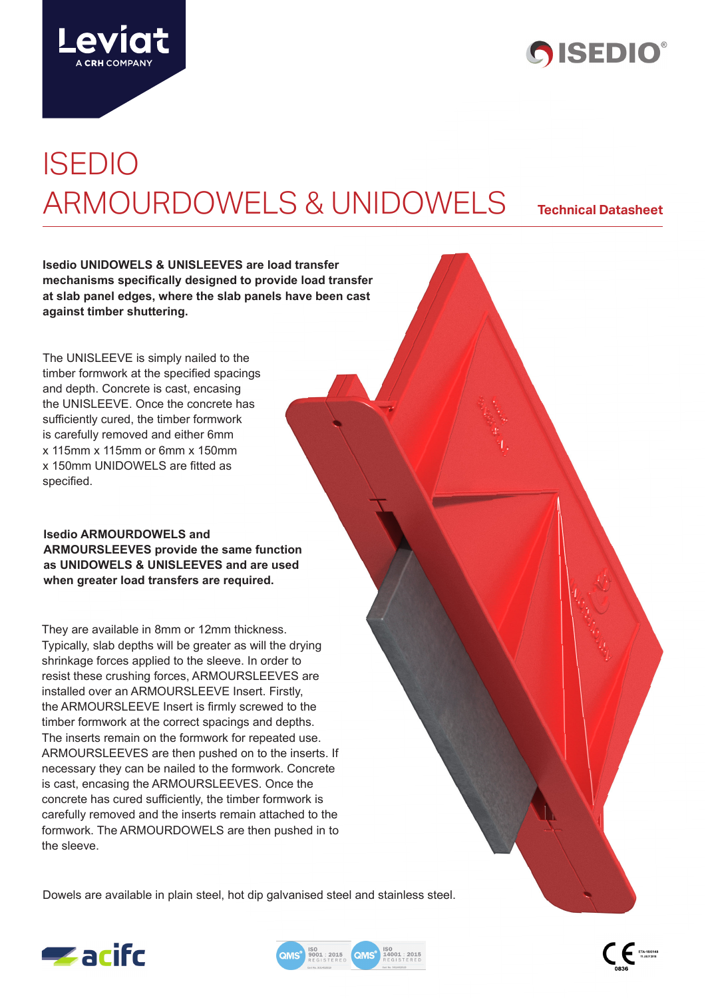



# ISEDIO ARMOURDOWELS & UNIDOWELS **Technical Datasheet**

**Isedio UNIDOWELS & UNISLEEVES are load transfer mechanisms specifically designed to provide load transfer at slab panel edges, where the slab panels have been cast against timber shuttering.**

The UNISLEEVE is simply nailed to the timber formwork at the specified spacings and depth. Concrete is cast, encasing the UNISLEEVE. Once the concrete has sufficiently cured, the timber formwork is carefully removed and either 6mm x 115mm x 115mm or 6mm x 150mm x 150mm UNIDOWELS are fitted as specified.

## **Isedio ARMOURDOWELS and ARMOURSLEEVES provide the same function as UNIDOWELS & UNISLEEVES and are used when greater load transfers are required.**

They are available in 8mm or 12mm thickness. Typically, slab depths will be greater as will the drying shrinkage forces applied to the sleeve. In order to resist these crushing forces, ARMOURSLEEVES are installed over an ARMOURSLEEVE Insert. Firstly, the ARMOURSLEEVE Insert is firmly screwed to the timber formwork at the correct spacings and depths. The inserts remain on the formwork for repeated use. ARMOURSLEEVES are then pushed on to the inserts. If necessary they can be nailed to the formwork. Concrete is cast, encasing the ARMOURSLEEVES. Once the concrete has cured sufficiently, the timber formwork is carefully removed and the inserts remain attached to the formwork. The ARMOURDOWELS are then pushed in to the sleeve.

Dowels are available in plain steel, hot dip galvanised steel and stainless steel.





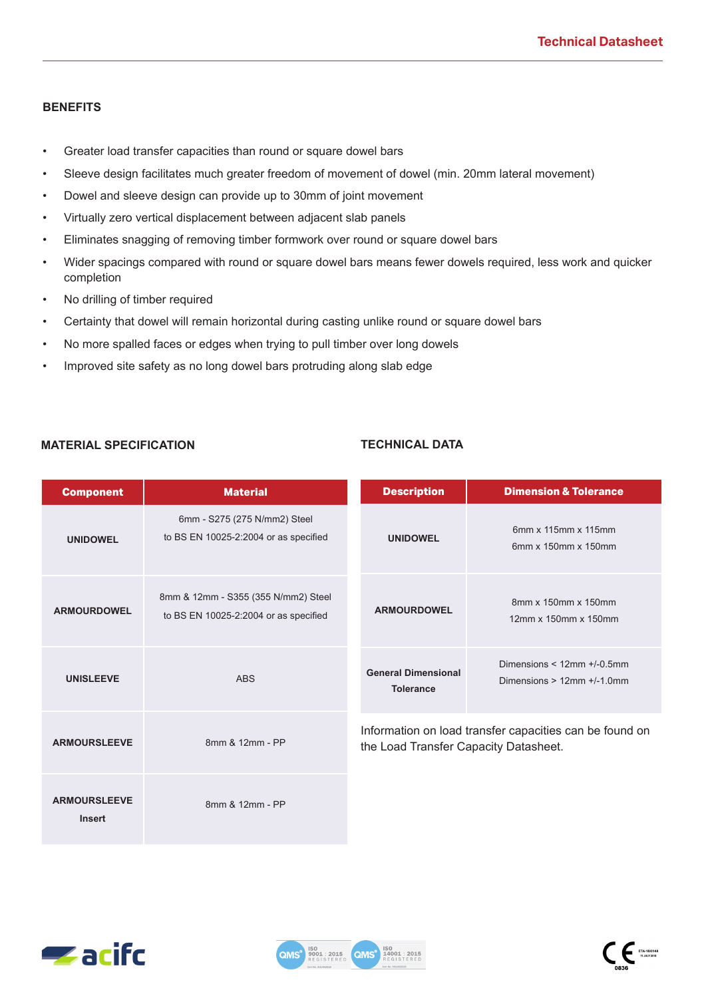### **BENEFITS**

- Greater load transfer capacities than round or square dowel bars
- Sleeve design facilitates much greater freedom of movement of dowel (min. 20mm lateral movement)
- Dowel and sleeve design can provide up to 30mm of joint movement
- Virtually zero vertical displacement between adjacent slab panels
- Eliminates snagging of removing timber formwork over round or square dowel bars
- Wider spacings compared with round or square dowel bars means fewer dowels required, less work and quicker completion
- No drilling of timber required
- Certainty that dowel will remain horizontal during casting unlike round or square dowel bars
- No more spalled faces or edges when trying to pull timber over long dowels
- Improved site safety as no long dowel bars protruding along slab edge

### **MATERIAL SPECIFICATION TECHNICAL DATA**

| <b>Component</b>                     | <b>Material</b>                                                              | <b>Description</b>                             | <b>Dimension &amp; Tolerance</b>                                    |
|--------------------------------------|------------------------------------------------------------------------------|------------------------------------------------|---------------------------------------------------------------------|
| <b>UNIDOWEL</b>                      | 6mm - S275 (275 N/mm2) Steel<br>to BS EN 10025-2:2004 or as specified        | <b>UNIDOWEL</b>                                | 6mm x 115mm x 115mm<br>6mm x 150mm x 150mm                          |
| <b>ARMOURDOWEL</b>                   | 8mm & 12mm - S355 (355 N/mm2) Steel<br>to BS EN 10025-2:2004 or as specified | <b>ARMOURDOWEL</b>                             | 8mm x 150mm x 150mm<br>12mm x 150mm x 150mm                         |
| <b>UNISLEEVE</b>                     | <b>ABS</b>                                                                   | <b>General Dimensional</b><br><b>Tolerance</b> | Dimensions $<$ 12mm $+$ /-0.5mm<br>Dimensions $> 12$ mm $+/-1.0$ mm |
| <b>ARMOURSLEEVE</b>                  | 8mm & 12mm - PP                                                              | the Load Transfer Capacity Datasheet.          | Information on load transfer capacities can be found on             |
| <b>ARMOURSLEEVE</b><br><b>Insert</b> | 8mm & 12mm - PP                                                              |                                                |                                                                     |